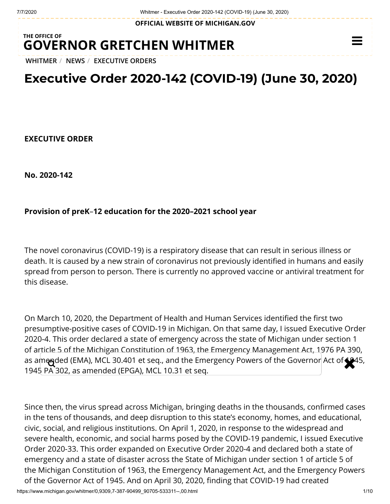**OFFICIAL WEBSITE OF [MICHIGAN.GOV](https://www.michigan.gov/)**

## **THE OFFICE OF GOVERNOR [GRETCHEN WHITMER](https://www.michigan.gov/whitmer/)**

**[WHITMER](https://www.michigan.gov/whitmer/)** / **[NEWS](https://www.michigan.gov/whitmer/0,9309,7-387-90499---,00.html)** / **[EXECUTIVE ORDERS](https://www.michigan.gov/whitmer/0,9309,7-387-90499_90705---,00.html)**

# **Executive Order 2020-142 (COVID-19) (June 30, 2020)**

**EXECUTIVE ORDER**

**No. 2020-142**

### **Provision of preK**–**12 education for the 2020–2021 school year**

The novel coronavirus (COVID-19) is a respiratory disease that can result in serious illness or death. It is caused by a new strain of coronavirus not previously identified in humans and easily spread from person to person. There is currently no approved vaccine or antiviral treatment for this disease.

On March 10, 2020, the Department of Health and Human Services identified the first two presumptive-positive cases of COVID-19 in Michigan. On that same day, I issued Executive Order 2020-4. This order declared a state of emergency across the state of Michigan under section 1 of article 5 of the Michigan Constitution of 1963, the Emergency Management Act, 1976 PA 390, as amended (EMA), MCL 30.401 et seq., and the Emergency Powers of the Governor Act of 1945,<br>1945 PA 302, as amonded (ERGA), MCL 10.31 et seq. 1945 PA 302, as amended (EPGA), MCL 10.31 et seq.

Since then, the virus spread across Michigan, bringing deaths in the thousands, confirmed cases in the tens of thousands, and deep disruption to this state's economy, homes, and educational, civic, social, and religious institutions. On April 1, 2020, in response to the widespread and severe health, economic, and social harms posed by the COVID-19 pandemic, I issued Executive Order 2020-33. This order expanded on Executive Order 2020-4 and declared both a state of emergency and a state of disaster across the State of Michigan under section 1 of article 5 of the Michigan Constitution of 1963, the Emergency Management Act, and the Emergency Powers of the Governor Act of 1945. And on April 30, 2020, finding that COVID-19 had created

 $\equiv$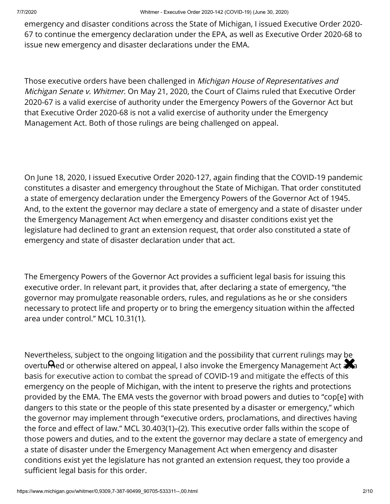emergency and disaster conditions across the State of Michigan, I issued Executive Order 2020- 67 to continue the emergency declaration under the EPA, as well as Executive Order 2020-68 to issue new emergency and disaster declarations under the EMA.

Those executive orders have been challenged in Michigan House of Representatives and Michigan Senate v. Whitmer. On May 21, 2020, the Court of Claims ruled that Executive Order 2020-67 is a valid exercise of authority under the Emergency Powers of the Governor Act but that Executive Order 2020-68 is not a valid exercise of authority under the Emergency Management Act. Both of those rulings are being challenged on appeal.

On June 18, 2020, I issued Executive Order 2020-127, again finding that the COVID-19 pandemic constitutes a disaster and emergency throughout the State of Michigan. That order constituted a state of emergency declaration under the Emergency Powers of the Governor Act of 1945. And, to the extent the governor may declare a state of emergency and a state of disaster under the Emergency Management Act when emergency and disaster conditions exist yet the legislature had declined to grant an extension request, that order also constituted a state of emergency and state of disaster declaration under that act.

The Emergency Powers of the Governor Act provides a sufficient legal basis for issuing this executive order. In relevant part, it provides that, after declaring a state of emergency, "the governor may promulgate reasonable orders, rules, and regulations as he or she considers necessary to protect life and property or to bring the emergency situation within the affected area under control." MCL 10.31(1).

Nevertheless, subject to the ongoing litigation and the possibility that current rulings may be **Nevertheress, subject to the origonig htigation and the possibility that current rulings may be**<br>overtu**me**d or otherwise altered on appeal, I also invoke the Emergency Management Act and basis for executive action to combat the spread of COVID-19 and mitigate the effects of this emergency on the people of Michigan, with the intent to preserve the rights and protections provided by the EMA. The EMA vests the governor with broad powers and duties to "cop[e] with dangers to this state or the people of this state presented by a disaster or emergency," which the governor may implement through "executive orders, proclamations, and directives having the force and effect of law." MCL 30.403(1)–(2). This executive order falls within the scope of those powers and duties, and to the extent the governor may declare a state of emergency and a state of disaster under the Emergency Management Act when emergency and disaster conditions exist yet the legislature has not granted an extension request, they too provide a sufficient legal basis for this order.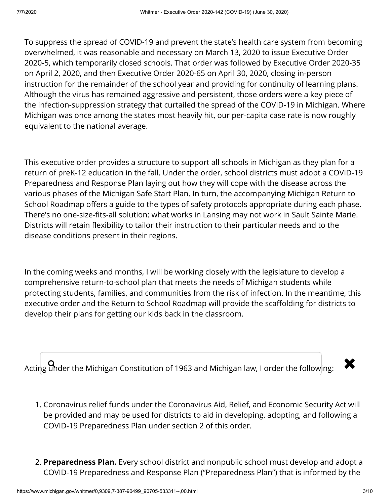To suppress the spread of COVID-19 and prevent the state's health care system from becoming overwhelmed, it was reasonable and necessary on March 13, 2020 to issue Executive Order 2020-5, which temporarily closed schools. That order was followed by Executive Order 2020-35 on April 2, 2020, and then Executive Order 2020-65 on April 30, 2020, closing in-person instruction for the remainder of the school year and providing for continuity of learning plans. Although the virus has remained aggressive and persistent, those orders were a key piece of the infection-suppression strategy that curtailed the spread of the COVID-19 in Michigan. Where Michigan was once among the states most heavily hit, our per-capita case rate is now roughly equivalent to the national average.

This executive order provides a structure to support all schools in Michigan as they plan for a return of preK-12 education in the fall. Under the order, school districts must adopt a COVID-19 Preparedness and Response Plan laying out how they will cope with the disease across the various phases of the Michigan Safe Start Plan. In turn, the accompanying Michigan Return to School Roadmap offers a guide to the types of safety protocols appropriate during each phase. There's no one-size-fits-all solution: what works in Lansing may not work in Sault Sainte Marie. Districts will retain flexibility to tailor their instruction to their particular needs and to the disease conditions present in their regions.

In the coming weeks and months, I will be working closely with the legislature to develop a comprehensive return-to-school plan that meets the needs of Michigan students while protecting students, families, and communities from the risk of infection. In the meantime, this executive order and the Return to School Roadmap will provide the scaffolding for districts to develop their plans for getting our kids back in the classroom.

Acting  $\Omega$  deer the Michigan Constitution of 1963 and Michigan law, I order the following:  $\quad \blacktriangleright$ 

- 1. Coronavirus relief funds under the Coronavirus Aid, Relief, and Economic Security Act will be provided and may be used for districts to aid in developing, adopting, and following a COVID-19 Preparedness Plan under section 2 of this order.
- 2. **Preparedness Plan.** Every school district and nonpublic school must develop and adopt a COVID-19 Preparedness and Response Plan ("Preparedness Plan") that is informed by the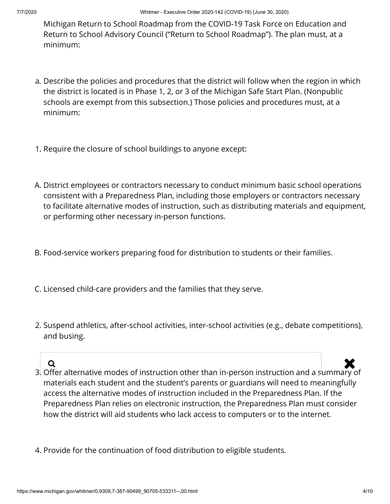Michigan Return to School Roadmap from the COVID-19 Task Force on Education and Return to School Advisory Council ("Return to School Roadmap"). The plan must, at a minimum:

- a. Describe the policies and procedures that the district will follow when the region in which the district is located is in Phase 1, 2, or 3 of the Michigan Safe Start Plan. (Nonpublic schools are exempt from this subsection.) Those policies and procedures must, at a minimum:
- 1. Require the closure of school buildings to anyone except:
- A. District employees or contractors necessary to conduct minimum basic school operations consistent with a Preparedness Plan, including those employers or contractors necessary to facilitate alternative modes of instruction, such as distributing materials and equipment, or performing other necessary in-person functions.
- B. Food-service workers preparing food for distribution to students or their families.
- C. Licensed child-care providers and the families that they serve.
- 2. Suspend athletics, after-school activities, inter-school activities (e.g., debate competitions), and busing.

- 3. Offer alternative modes of instruction other than in-person instruction and a summary of materials each student and the student's parents or guardians will need to meaningfully access the alternative modes of instruction included in the Preparedness Plan. If the Preparedness Plan relies on electronic instruction, the Preparedness Plan must consider how the district will aid students who lack access to computers or to the internet.  $Q$
- 4. Provide for the continuation of food distribution to eligible students.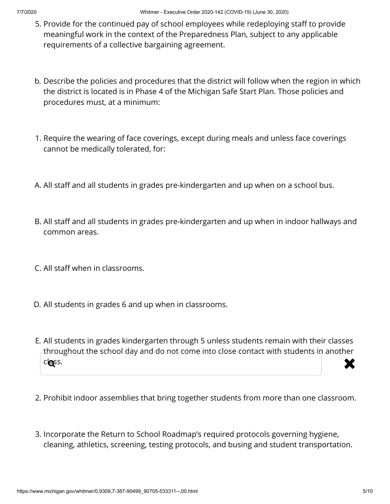- 5. Provide for the continued pay of school employees while redeploying staff to provide meaningful work in the context of the Preparedness Plan, subject to any applicable requirements of a collective bargaining agreement.
- b. Describe the policies and procedures that the district will follow when the region in which the district is located is in Phase 4 of the Michigan Safe Start Plan. Those policies and procedures must, at a minimum:
- 1. Require the wearing of face coverings, except during meals and unless face coverings cannot be medically tolerated, for:
- A. All staff and all students in grades pre-kindergarten and up when on a school bus.
- B. All staff and all students in grades pre-kindergarten and up when in indoor hallways and common areas.
- C. All staff when in classrooms.
- D. All students in grades 6 and up when in classrooms.
- E. All students in grades kindergarten through 5 unless students remain with their classes throughout the school day and do not come into close contact with students in another class.  $\mathbf{Q}$ ss.  $\mathbf{X}$
- 2. Prohibit indoor assemblies that bring together students from more than one classroom.
- 3. Incorporate the Return to School Roadmap's required protocols governing hygiene, cleaning, athletics, screening, testing protocols, and busing and student transportation.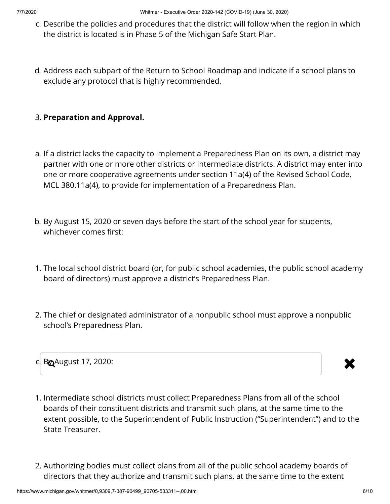- c. Describe the policies and procedures that the district will follow when the region in which the district is located is in Phase 5 of the Michigan Safe Start Plan.
- d. Address each subpart of the Return to School Roadmap and indicate if a school plans to exclude any protocol that is highly recommended.

### 3. **Preparation and Approval.**

- a. If a district lacks the capacity to implement a Preparedness Plan on its own, a district may partner with one or more other districts or intermediate districts. A district may enter into one or more cooperative agreements under section 11a(4) of the Revised School Code, MCL 380.11a(4), to provide for implementation of a Preparedness Plan.
- b. By August 15, 2020 or seven days before the start of the school year for students, whichever comes first:
- 1. The local school district board (or, for public school academies, the public school academy board of directors) must approve a district's Preparedness Plan.
- 2. The chief or designated administrator of a nonpublic school must approve a nonpublic school's Preparedness Plan.



- 
- 1. Intermediate school districts must collect Preparedness Plans from all of the school boards of their constituent districts and transmit such plans, at the same time to the extent possible, to the Superintendent of Public Instruction ("Superintendent") and to the State Treasurer.
- 2. Authorizing bodies must collect plans from all of the public school academy boards of directors that they authorize and transmit such plans, at the same time to the extent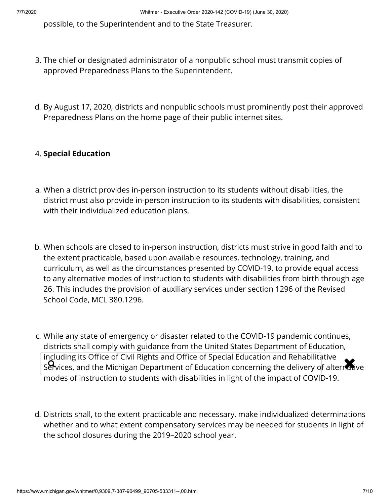possible, to the Superintendent and to the State Treasurer.

- 3. The chief or designated administrator of a nonpublic school must transmit copies of approved Preparedness Plans to the Superintendent.
- d. By August 17, 2020, districts and nonpublic schools must prominently post their approved Preparedness Plans on the home page of their public internet sites.

### 4. **Special Education**

- a. When a district provides in-person instruction to its students without disabilities, the district must also provide in-person instruction to its students with disabilities, consistent with their individualized education plans.
- b. When schools are closed to in-person instruction, districts must strive in good faith and to the extent practicable, based upon available resources, technology, training, and curriculum, as well as the circumstances presented by COVID-19, to provide equal access to any alternative modes of instruction to students with disabilities from birth through age 26. This includes the provision of auxiliary services under section 1296 of the Revised School Code, MCL 380.1296.
- c. While any state of emergency or disaster related to the COVID-19 pandemic continues, districts shall comply with guidance from the United States Department of Education, including its Office of Civil Rights and Office of Special Education and Rehabilitative including its Office of Civil Rights and Office of Special Education and Renabilitative<br>Services, and the Michigan Department of Education concerning the delivery of alternative modes of instruction to students with disabilities in light of the impact of COVID-19.
- d. Districts shall, to the extent practicable and necessary, make individualized determinations whether and to what extent compensatory services may be needed for students in light of the school closures during the 2019–2020 school year.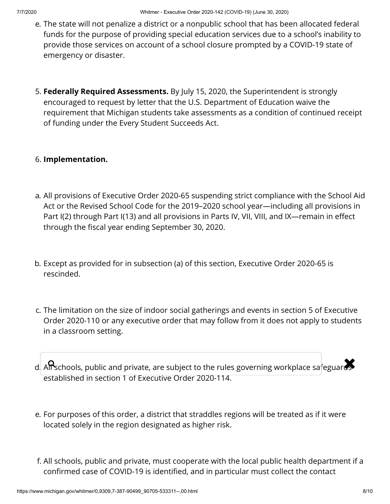- e. The state will not penalize a district or a nonpublic school that has been allocated federal funds for the purpose of providing special education services due to a school's inability to provide those services on account of a school closure prompted by a COVID-19 state of emergency or disaster.
- 5. **Federally Required Assessments.** By July 15, 2020, the Superintendent is strongly encouraged to request by letter that the U.S. Department of Education waive the requirement that Michigan students take assessments as a condition of continued receipt of funding under the Every Student Succeeds Act.

### 6. **Implementation.**

- a. All provisions of Executive Order 2020-65 suspending strict compliance with the School Aid Act or the Revised School Code for the 2019–2020 school year—including all provisions in Part I(2) through Part I(13) and all provisions in Parts IV, VII, VIII, and IX—remain in effect through the fiscal year ending September 30, 2020.
- b. Except as provided for in subsection (a) of this section, Executive Order 2020-65 is rescinded.
- c. The limitation on the size of indoor social gatherings and events in section 5 of Executive Order 2020-110 or any executive order that may follow from it does not apply to students in a classroom setting.
- d. All schools, public and private, are subject to the rules governing workplace safeguards established in section 1 of Executive Order 2020-114.
- e. For purposes of this order, a district that straddles regions will be treated as if it were located solely in the region designated as higher risk.
- f. All schools, public and private, must cooperate with the local public health department if a confirmed case of COVID-19 is identified, and in particular must collect the contact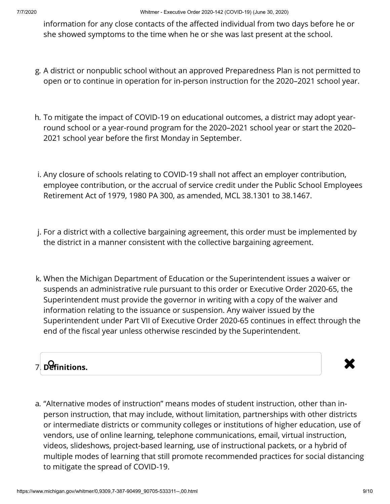information for any close contacts of the affected individual from two days before he or she showed symptoms to the time when he or she was last present at the school.

- g. A district or nonpublic school without an approved Preparedness Plan is not permitted to open or to continue in operation for in-person instruction for the 2020–2021 school year.
- h. To mitigate the impact of COVID-19 on educational outcomes, a district may adopt yearround school or a year-round program for the 2020–2021 school year or start the 2020– 2021 school year before the first Monday in September.
- i. Any closure of schools relating to COVID-19 shall not affect an employer contribution, employee contribution, or the accrual of service credit under the Public School Employees Retirement Act of 1979, 1980 PA 300, as amended, MCL 38.1301 to 38.1467.
- j. For a district with a collective bargaining agreement, this order must be implemented by the district in a manner consistent with the collective bargaining agreement.
- k. When the Michigan Department of Education or the Superintendent issues a waiver or suspends an administrative rule pursuant to this order or Executive Order 2020-65, the Superintendent must provide the governor in writing with a copy of the waiver and information relating to the issuance or suspension. Any waiver issued by the Superintendent under Part VII of Executive Order 2020-65 continues in effect through the end of the fiscal year unless otherwise rescinded by the Superintendent.





a. "Alternative modes of instruction" means modes of student instruction, other than inperson instruction, that may include, without limitation, partnerships with other districts or intermediate districts or community colleges or institutions of higher education, use of vendors, use of online learning, telephone communications, email, virtual instruction, videos, slideshows, project-based learning, use of instructional packets, or a hybrid of multiple modes of learning that still promote recommended practices for social distancing to mitigate the spread of COVID-19.